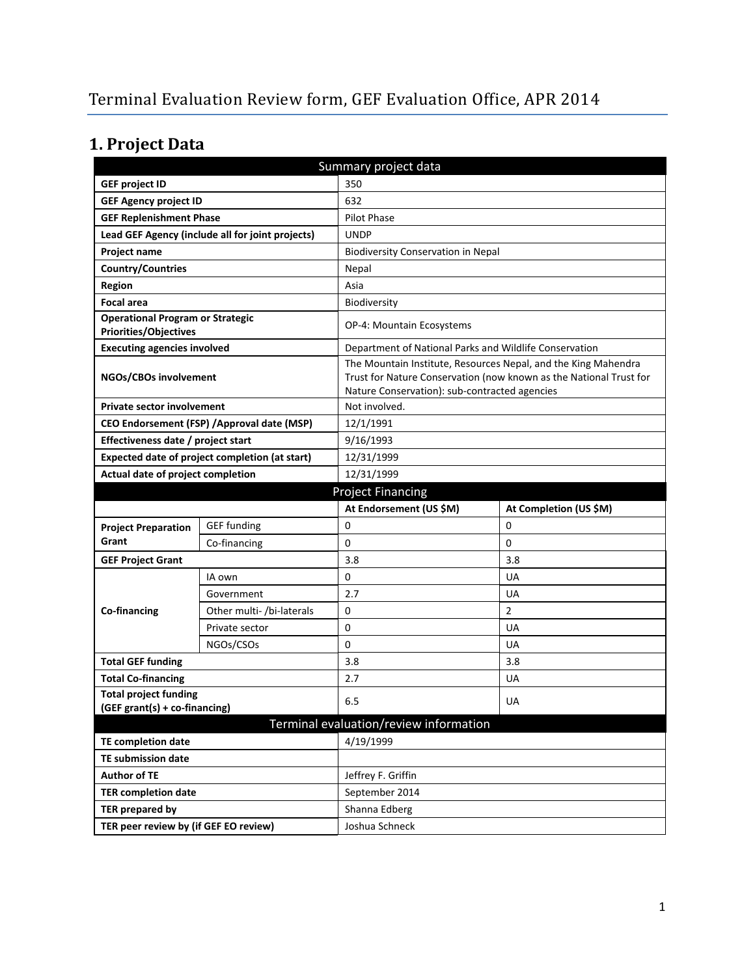# **1. Project Data**

| Summary project data                                                    |                                                  |                                                                                                                                                                                       |                        |  |
|-------------------------------------------------------------------------|--------------------------------------------------|---------------------------------------------------------------------------------------------------------------------------------------------------------------------------------------|------------------------|--|
| <b>GEF project ID</b>                                                   |                                                  | 350                                                                                                                                                                                   |                        |  |
| <b>GEF Agency project ID</b>                                            |                                                  | 632                                                                                                                                                                                   |                        |  |
| <b>GEF Replenishment Phase</b>                                          |                                                  | Pilot Phase                                                                                                                                                                           |                        |  |
|                                                                         | Lead GEF Agency (include all for joint projects) | <b>UNDP</b>                                                                                                                                                                           |                        |  |
| <b>Project name</b>                                                     |                                                  | <b>Biodiversity Conservation in Nepal</b>                                                                                                                                             |                        |  |
| <b>Country/Countries</b>                                                |                                                  | Nepal                                                                                                                                                                                 |                        |  |
| <b>Region</b>                                                           |                                                  | Asia                                                                                                                                                                                  |                        |  |
| <b>Focal area</b>                                                       |                                                  | Biodiversity                                                                                                                                                                          |                        |  |
| <b>Operational Program or Strategic</b><br><b>Priorities/Objectives</b> |                                                  | <b>OP-4: Mountain Ecosystems</b>                                                                                                                                                      |                        |  |
| <b>Executing agencies involved</b>                                      |                                                  | Department of National Parks and Wildlife Conservation                                                                                                                                |                        |  |
| NGOs/CBOs involvement                                                   |                                                  | The Mountain Institute, Resources Nepal, and the King Mahendra<br>Trust for Nature Conservation (now known as the National Trust for<br>Nature Conservation): sub-contracted agencies |                        |  |
| <b>Private sector involvement</b>                                       |                                                  | Not involved.                                                                                                                                                                         |                        |  |
|                                                                         | CEO Endorsement (FSP) / Approval date (MSP)      | 12/1/1991                                                                                                                                                                             |                        |  |
| Effectiveness date / project start                                      |                                                  | 9/16/1993                                                                                                                                                                             |                        |  |
| Expected date of project completion (at start)                          |                                                  | 12/31/1999                                                                                                                                                                            |                        |  |
| Actual date of project completion                                       |                                                  | 12/31/1999                                                                                                                                                                            |                        |  |
| <b>Project Financing</b>                                                |                                                  |                                                                                                                                                                                       |                        |  |
|                                                                         |                                                  |                                                                                                                                                                                       |                        |  |
|                                                                         |                                                  | At Endorsement (US \$M)                                                                                                                                                               | At Completion (US \$M) |  |
| <b>Project Preparation</b>                                              | <b>GEF</b> funding                               | 0                                                                                                                                                                                     | 0                      |  |
| Grant                                                                   | Co-financing                                     | 0                                                                                                                                                                                     | $\Omega$               |  |
| <b>GEF Project Grant</b>                                                |                                                  | 3.8                                                                                                                                                                                   | 3.8                    |  |
|                                                                         | IA own                                           | 0                                                                                                                                                                                     | UA                     |  |
|                                                                         | Government                                       | 2.7                                                                                                                                                                                   | UA                     |  |
| Co-financing                                                            | Other multi- /bi-laterals                        | 0                                                                                                                                                                                     | $\overline{2}$         |  |
|                                                                         | Private sector                                   | 0                                                                                                                                                                                     | <b>UA</b>              |  |
|                                                                         | NGOs/CSOs                                        | 0                                                                                                                                                                                     | <b>UA</b>              |  |
| <b>Total GEF funding</b>                                                |                                                  | 3.8                                                                                                                                                                                   | 3.8                    |  |
| <b>Total Co-financing</b>                                               |                                                  | 2.7                                                                                                                                                                                   | UA                     |  |
| <b>Total project funding</b>                                            |                                                  |                                                                                                                                                                                       |                        |  |
| (GEF grant(s) + co-financing)                                           |                                                  | 6.5                                                                                                                                                                                   | UA                     |  |
|                                                                         |                                                  | Terminal evaluation/review information                                                                                                                                                |                        |  |
| <b>TE completion date</b>                                               |                                                  | 4/19/1999                                                                                                                                                                             |                        |  |
| <b>TE submission date</b>                                               |                                                  |                                                                                                                                                                                       |                        |  |
| <b>Author of TE</b>                                                     |                                                  | Jeffrey F. Griffin                                                                                                                                                                    |                        |  |
| <b>TER completion date</b>                                              |                                                  | September 2014                                                                                                                                                                        |                        |  |
| <b>TER prepared by</b><br>TER peer review by (if GEF EO review)         |                                                  | Shanna Edberg<br>Joshua Schneck                                                                                                                                                       |                        |  |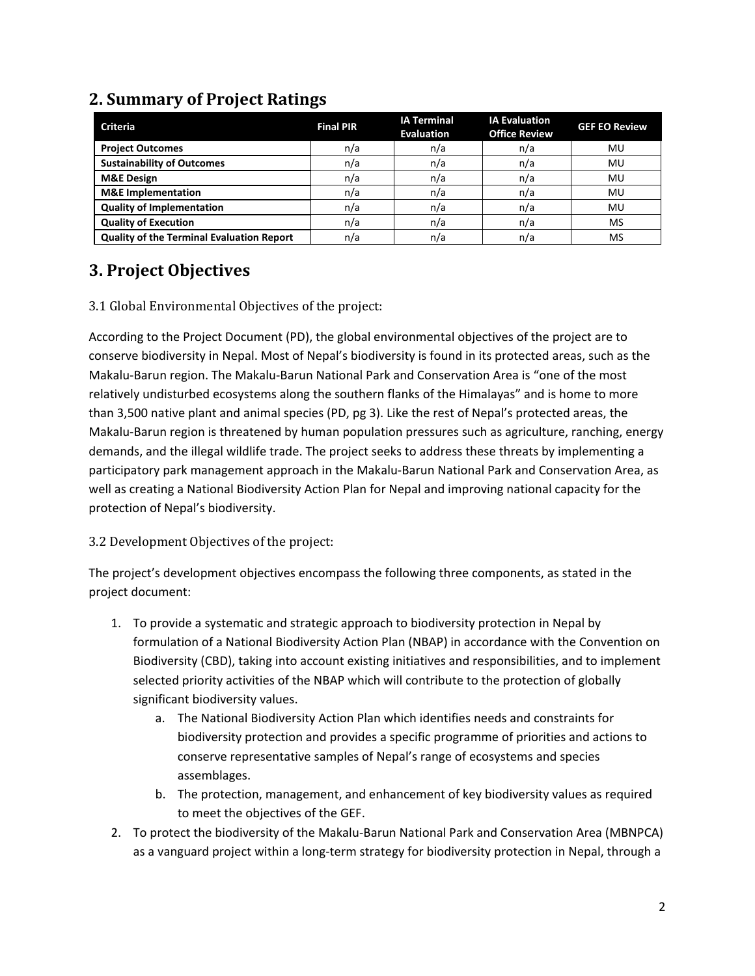| <b>Criteria</b>                                  | <b>Final PIR</b> | <b>IA Terminal</b><br><b>Evaluation</b> | <b>IA Evaluation</b><br><b>Office Review</b> | <b>GEF EO Review</b> |
|--------------------------------------------------|------------------|-----------------------------------------|----------------------------------------------|----------------------|
| <b>Project Outcomes</b>                          | n/a              | n/a                                     | n/a                                          | MU                   |
| <b>Sustainability of Outcomes</b>                | n/a              | n/a                                     | n/a                                          | MU                   |
| <b>M&amp;E Design</b>                            | n/a              | n/a                                     | n/a                                          | MU                   |
| <b>M&amp;E</b> Implementation                    | n/a              | n/a                                     | n/a                                          | MU                   |
| <b>Quality of Implementation</b>                 | n/a              | n/a                                     | n/a                                          | MU                   |
| <b>Quality of Execution</b>                      | n/a              | n/a                                     | n/a                                          | MS                   |
| <b>Quality of the Terminal Evaluation Report</b> | n/a              | n/a                                     | n/a                                          | MS                   |

## **2. Summary of Project Ratings**

### **3. Project Objectives**

#### 3.1 Global Environmental Objectives of the project:

According to the Project Document (PD), the global environmental objectives of the project are to conserve biodiversity in Nepal. Most of Nepal's biodiversity is found in its protected areas, such as the Makalu-Barun region. The Makalu-Barun National Park and Conservation Area is "one of the most relatively undisturbed ecosystems along the southern flanks of the Himalayas" and is home to more than 3,500 native plant and animal species (PD, pg 3). Like the rest of Nepal's protected areas, the Makalu-Barun region is threatened by human population pressures such as agriculture, ranching, energy demands, and the illegal wildlife trade. The project seeks to address these threats by implementing a participatory park management approach in the Makalu-Barun National Park and Conservation Area, as well as creating a National Biodiversity Action Plan for Nepal and improving national capacity for the protection of Nepal's biodiversity.

#### 3.2 Development Objectives of the project:

The project's development objectives encompass the following three components, as stated in the project document:

- 1. To provide a systematic and strategic approach to biodiversity protection in Nepal by formulation of a National Biodiversity Action Plan (NBAP) in accordance with the Convention on Biodiversity (CBD), taking into account existing initiatives and responsibilities, and to implement selected priority activities of the NBAP which will contribute to the protection of globally significant biodiversity values.
	- a. The National Biodiversity Action Plan which identifies needs and constraints for biodiversity protection and provides a specific programme of priorities and actions to conserve representative samples of Nepal's range of ecosystems and species assemblages.
	- b. The protection, management, and enhancement of key biodiversity values as required to meet the objectives of the GEF.
- 2. To protect the biodiversity of the Makalu-Barun National Park and Conservation Area (MBNPCA) as a vanguard project within a long-term strategy for biodiversity protection in Nepal, through a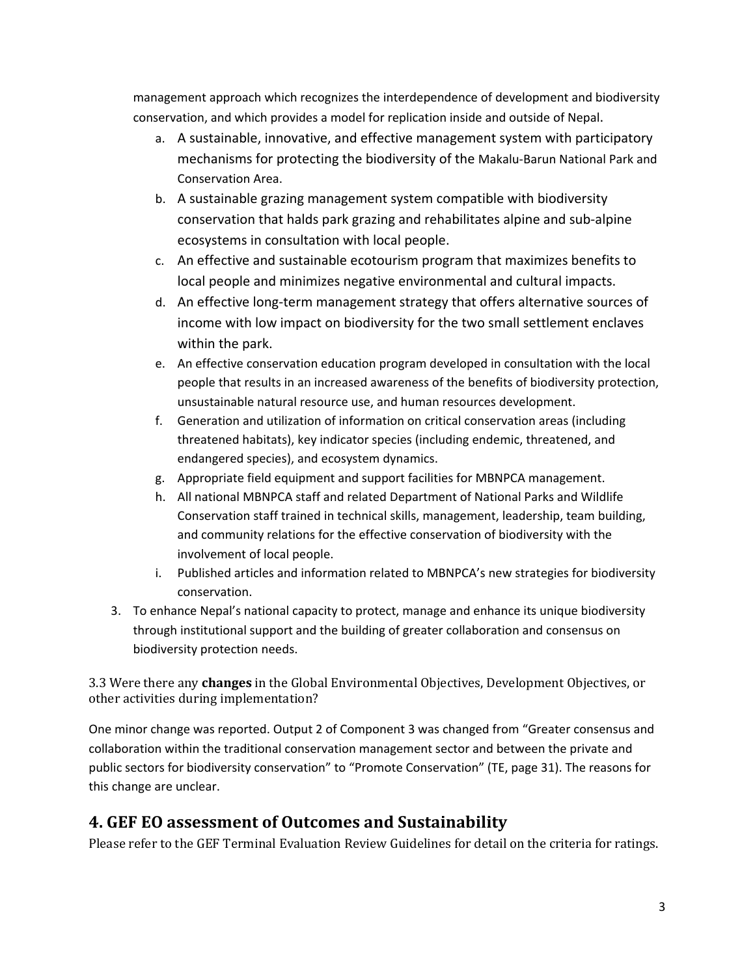management approach which recognizes the interdependence of development and biodiversity conservation, and which provides a model for replication inside and outside of Nepal.

- a. A sustainable, innovative, and effective management system with participatory mechanisms for protecting the biodiversity of the Makalu-Barun National Park and Conservation Area.
- b. A sustainable grazing management system compatible with biodiversity conservation that halds park grazing and rehabilitates alpine and sub-alpine ecosystems in consultation with local people.
- c. An effective and sustainable ecotourism program that maximizes benefits to local people and minimizes negative environmental and cultural impacts.
- d. An effective long-term management strategy that offers alternative sources of income with low impact on biodiversity for the two small settlement enclaves within the park.
- e. An effective conservation education program developed in consultation with the local people that results in an increased awareness of the benefits of biodiversity protection, unsustainable natural resource use, and human resources development.
- f. Generation and utilization of information on critical conservation areas (including threatened habitats), key indicator species (including endemic, threatened, and endangered species), and ecosystem dynamics.
- g. Appropriate field equipment and support facilities for MBNPCA management.
- h. All national MBNPCA staff and related Department of National Parks and Wildlife Conservation staff trained in technical skills, management, leadership, team building, and community relations for the effective conservation of biodiversity with the involvement of local people.
- i. Published articles and information related to MBNPCA's new strategies for biodiversity conservation.
- 3. To enhance Nepal's national capacity to protect, manage and enhance its unique biodiversity through institutional support and the building of greater collaboration and consensus on biodiversity protection needs.

3.3 Were there any **changes** in the Global Environmental Objectives, Development Objectives, or other activities during implementation?

One minor change was reported. Output 2 of Component 3 was changed from "Greater consensus and collaboration within the traditional conservation management sector and between the private and public sectors for biodiversity conservation" to "Promote Conservation" (TE, page 31). The reasons for this change are unclear.

## **4. GEF EO assessment of Outcomes and Sustainability**

Please refer to the GEF Terminal Evaluation Review Guidelines for detail on the criteria for ratings.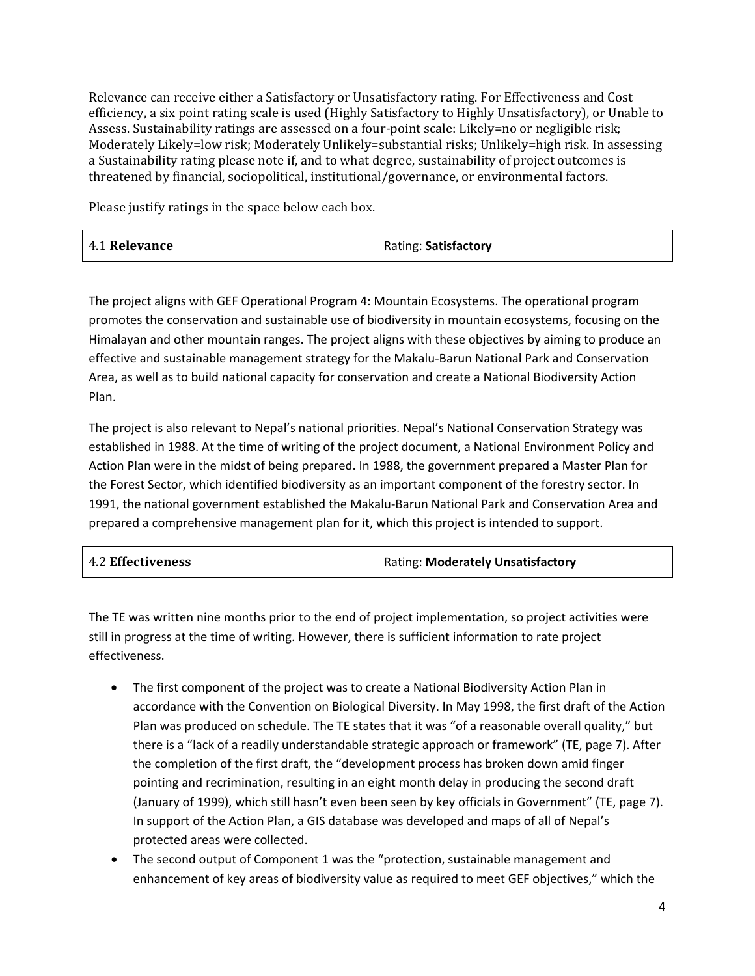Relevance can receive either a Satisfactory or Unsatisfactory rating. For Effectiveness and Cost efficiency, a six point rating scale is used (Highly Satisfactory to Highly Unsatisfactory), or Unable to Assess. Sustainability ratings are assessed on a four-point scale: Likely=no or negligible risk; Moderately Likely=low risk; Moderately Unlikely=substantial risks; Unlikely=high risk. In assessing a Sustainability rating please note if, and to what degree, sustainability of project outcomes is threatened by financial, sociopolitical, institutional/governance, or environmental factors.

Please justify ratings in the space below each box.

| 4.1 Relevance | Rating: Satisfactory |
|---------------|----------------------|
|---------------|----------------------|

The project aligns with GEF Operational Program 4: Mountain Ecosystems. The operational program promotes the conservation and sustainable use of biodiversity in mountain ecosystems, focusing on the Himalayan and other mountain ranges. The project aligns with these objectives by aiming to produce an effective and sustainable management strategy for the Makalu-Barun National Park and Conservation Area, as well as to build national capacity for conservation and create a National Biodiversity Action Plan.

The project is also relevant to Nepal's national priorities. Nepal's National Conservation Strategy was established in 1988. At the time of writing of the project document, a National Environment Policy and Action Plan were in the midst of being prepared. In 1988, the government prepared a Master Plan for the Forest Sector, which identified biodiversity as an important component of the forestry sector. In 1991, the national government established the Makalu-Barun National Park and Conservation Area and prepared a comprehensive management plan for it, which this project is intended to support.

| <b>4.2 Effectiveness</b> | <b>Rating: Moderately Unsatisfactory</b> |
|--------------------------|------------------------------------------|
|--------------------------|------------------------------------------|

The TE was written nine months prior to the end of project implementation, so project activities were still in progress at the time of writing. However, there is sufficient information to rate project effectiveness.

- The first component of the project was to create a National Biodiversity Action Plan in accordance with the Convention on Biological Diversity. In May 1998, the first draft of the Action Plan was produced on schedule. The TE states that it was "of a reasonable overall quality," but there is a "lack of a readily understandable strategic approach or framework" (TE, page 7). After the completion of the first draft, the "development process has broken down amid finger pointing and recrimination, resulting in an eight month delay in producing the second draft (January of 1999), which still hasn't even been seen by key officials in Government" (TE, page 7). In support of the Action Plan, a GIS database was developed and maps of all of Nepal's protected areas were collected.
- The second output of Component 1 was the "protection, sustainable management and enhancement of key areas of biodiversity value as required to meet GEF objectives," which the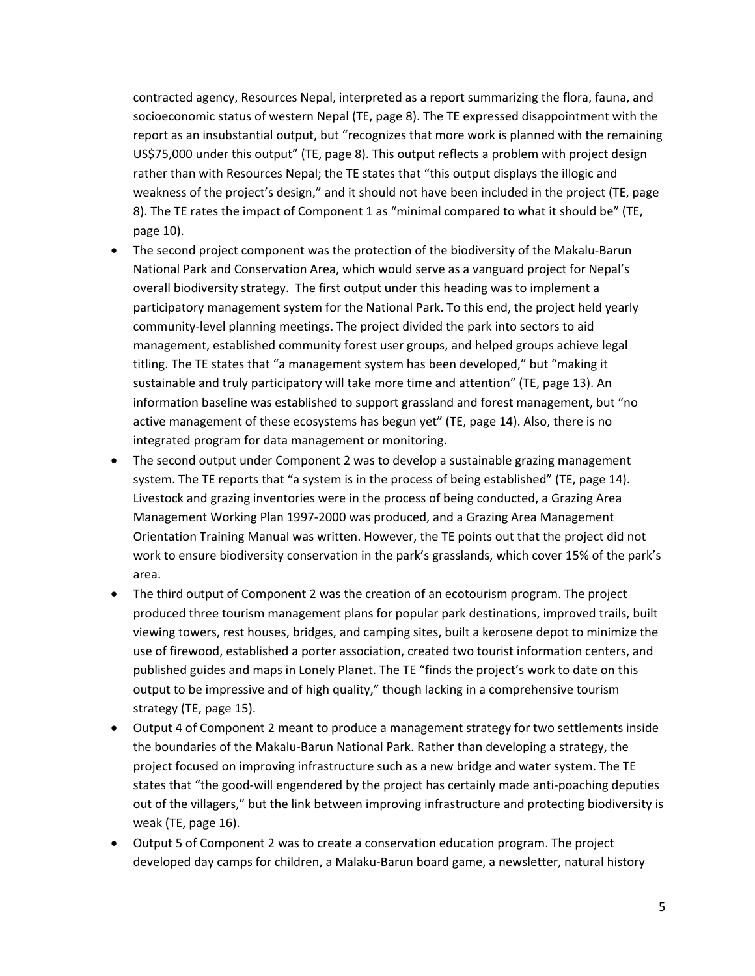contracted agency, Resources Nepal, interpreted as a report summarizing the flora, fauna, and socioeconomic status of western Nepal (TE, page 8). The TE expressed disappointment with the report as an insubstantial output, but "recognizes that more work is planned with the remaining US\$75,000 under this output" (TE, page 8). This output reflects a problem with project design rather than with Resources Nepal; the TE states that "this output displays the illogic and weakness of the project's design," and it should not have been included in the project (TE, page 8). The TE rates the impact of Component 1 as "minimal compared to what it should be" (TE, page 10).

- The second project component was the protection of the biodiversity of the Makalu-Barun National Park and Conservation Area, which would serve as a vanguard project for Nepal's overall biodiversity strategy. The first output under this heading was to implement a participatory management system for the National Park. To this end, the project held yearly community-level planning meetings. The project divided the park into sectors to aid management, established community forest user groups, and helped groups achieve legal titling. The TE states that "a management system has been developed," but "making it sustainable and truly participatory will take more time and attention" (TE, page 13). An information baseline was established to support grassland and forest management, but "no active management of these ecosystems has begun yet" (TE, page 14). Also, there is no integrated program for data management or monitoring.
- The second output under Component 2 was to develop a sustainable grazing management system. The TE reports that "a system is in the process of being established" (TE, page 14). Livestock and grazing inventories were in the process of being conducted, a Grazing Area Management Working Plan 1997-2000 was produced, and a Grazing Area Management Orientation Training Manual was written. However, the TE points out that the project did not work to ensure biodiversity conservation in the park's grasslands, which cover 15% of the park's area.
- The third output of Component 2 was the creation of an ecotourism program. The project produced three tourism management plans for popular park destinations, improved trails, built viewing towers, rest houses, bridges, and camping sites, built a kerosene depot to minimize the use of firewood, established a porter association, created two tourist information centers, and published guides and maps in Lonely Planet. The TE "finds the project's work to date on this output to be impressive and of high quality," though lacking in a comprehensive tourism strategy (TE, page 15).
- Output 4 of Component 2 meant to produce a management strategy for two settlements inside the boundaries of the Makalu-Barun National Park. Rather than developing a strategy, the project focused on improving infrastructure such as a new bridge and water system. The TE states that "the good-will engendered by the project has certainly made anti-poaching deputies out of the villagers," but the link between improving infrastructure and protecting biodiversity is weak (TE, page 16).
- Output 5 of Component 2 was to create a conservation education program. The project developed day camps for children, a Malaku-Barun board game, a newsletter, natural history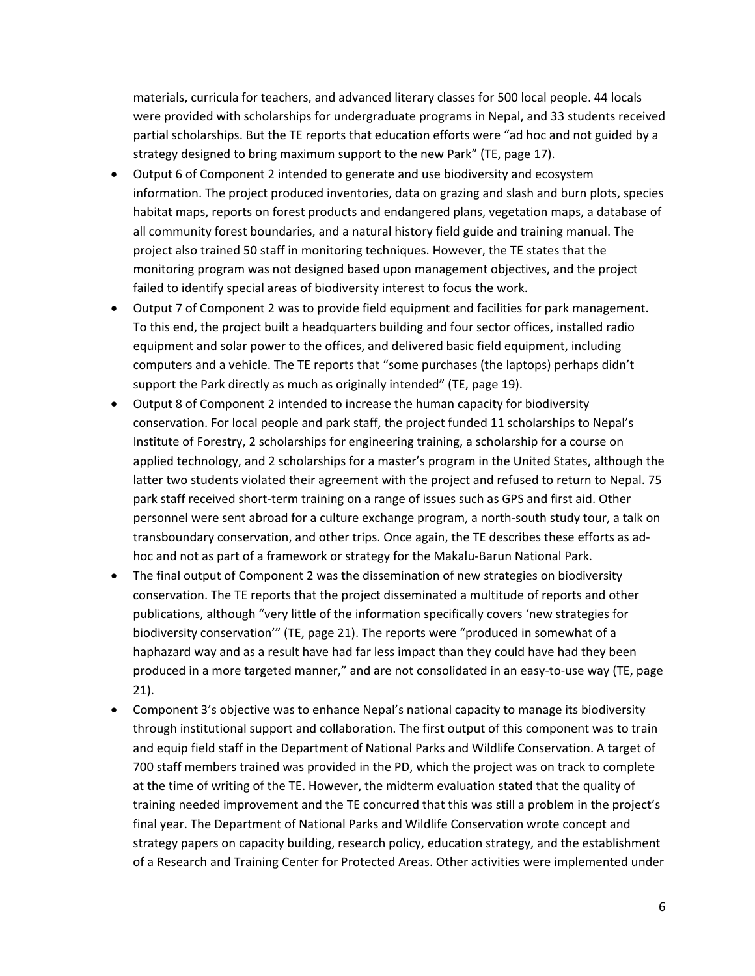materials, curricula for teachers, and advanced literary classes for 500 local people. 44 locals were provided with scholarships for undergraduate programs in Nepal, and 33 students received partial scholarships. But the TE reports that education efforts were "ad hoc and not guided by a strategy designed to bring maximum support to the new Park" (TE, page 17).

- Output 6 of Component 2 intended to generate and use biodiversity and ecosystem information. The project produced inventories, data on grazing and slash and burn plots, species habitat maps, reports on forest products and endangered plans, vegetation maps, a database of all community forest boundaries, and a natural history field guide and training manual. The project also trained 50 staff in monitoring techniques. However, the TE states that the monitoring program was not designed based upon management objectives, and the project failed to identify special areas of biodiversity interest to focus the work.
- Output 7 of Component 2 was to provide field equipment and facilities for park management. To this end, the project built a headquarters building and four sector offices, installed radio equipment and solar power to the offices, and delivered basic field equipment, including computers and a vehicle. The TE reports that "some purchases (the laptops) perhaps didn't support the Park directly as much as originally intended" (TE, page 19).
- Output 8 of Component 2 intended to increase the human capacity for biodiversity conservation. For local people and park staff, the project funded 11 scholarships to Nepal's Institute of Forestry, 2 scholarships for engineering training, a scholarship for a course on applied technology, and 2 scholarships for a master's program in the United States, although the latter two students violated their agreement with the project and refused to return to Nepal. 75 park staff received short-term training on a range of issues such as GPS and first aid. Other personnel were sent abroad for a culture exchange program, a north-south study tour, a talk on transboundary conservation, and other trips. Once again, the TE describes these efforts as adhoc and not as part of a framework or strategy for the Makalu-Barun National Park.
- The final output of Component 2 was the dissemination of new strategies on biodiversity conservation. The TE reports that the project disseminated a multitude of reports and other publications, although "very little of the information specifically covers 'new strategies for biodiversity conservation'" (TE, page 21). The reports were "produced in somewhat of a haphazard way and as a result have had far less impact than they could have had they been produced in a more targeted manner," and are not consolidated in an easy-to-use way (TE, page 21).
- Component 3's objective was to enhance Nepal's national capacity to manage its biodiversity through institutional support and collaboration. The first output of this component was to train and equip field staff in the Department of National Parks and Wildlife Conservation. A target of 700 staff members trained was provided in the PD, which the project was on track to complete at the time of writing of the TE. However, the midterm evaluation stated that the quality of training needed improvement and the TE concurred that this was still a problem in the project's final year. The Department of National Parks and Wildlife Conservation wrote concept and strategy papers on capacity building, research policy, education strategy, and the establishment of a Research and Training Center for Protected Areas. Other activities were implemented under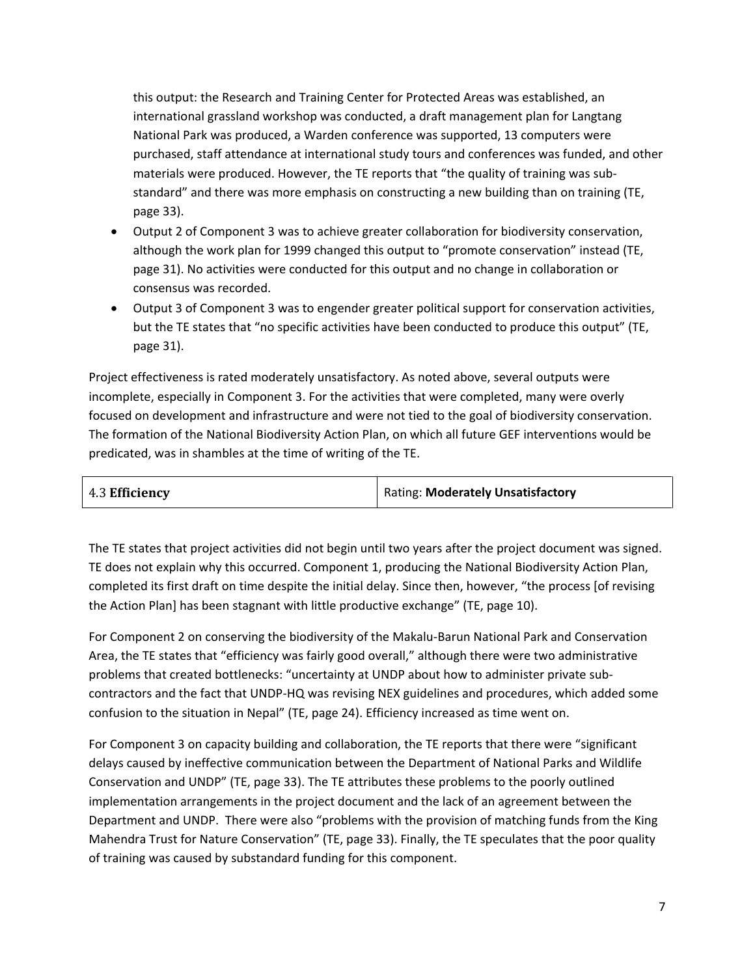this output: the Research and Training Center for Protected Areas was established, an international grassland workshop was conducted, a draft management plan for Langtang National Park was produced, a Warden conference was supported, 13 computers were purchased, staff attendance at international study tours and conferences was funded, and other materials were produced. However, the TE reports that "the quality of training was substandard" and there was more emphasis on constructing a new building than on training (TE, page 33).

- Output 2 of Component 3 was to achieve greater collaboration for biodiversity conservation, although the work plan for 1999 changed this output to "promote conservation" instead (TE, page 31). No activities were conducted for this output and no change in collaboration or consensus was recorded.
- Output 3 of Component 3 was to engender greater political support for conservation activities, but the TE states that "no specific activities have been conducted to produce this output" (TE, page 31).

Project effectiveness is rated moderately unsatisfactory. As noted above, several outputs were incomplete, especially in Component 3. For the activities that were completed, many were overly focused on development and infrastructure and were not tied to the goal of biodiversity conservation. The formation of the National Biodiversity Action Plan, on which all future GEF interventions would be predicated, was in shambles at the time of writing of the TE.

| 4.3 Efficiency | <b>Rating: Moderately Unsatisfactory</b> |
|----------------|------------------------------------------|
|                |                                          |

The TE states that project activities did not begin until two years after the project document was signed. TE does not explain why this occurred. Component 1, producing the National Biodiversity Action Plan, completed its first draft on time despite the initial delay. Since then, however, "the process [of revising the Action Plan] has been stagnant with little productive exchange" (TE, page 10).

For Component 2 on conserving the biodiversity of the Makalu-Barun National Park and Conservation Area, the TE states that "efficiency was fairly good overall," although there were two administrative problems that created bottlenecks: "uncertainty at UNDP about how to administer private subcontractors and the fact that UNDP-HQ was revising NEX guidelines and procedures, which added some confusion to the situation in Nepal" (TE, page 24). Efficiency increased as time went on.

For Component 3 on capacity building and collaboration, the TE reports that there were "significant delays caused by ineffective communication between the Department of National Parks and Wildlife Conservation and UNDP" (TE, page 33). The TE attributes these problems to the poorly outlined implementation arrangements in the project document and the lack of an agreement between the Department and UNDP. There were also "problems with the provision of matching funds from the King Mahendra Trust for Nature Conservation" (TE, page 33). Finally, the TE speculates that the poor quality of training was caused by substandard funding for this component.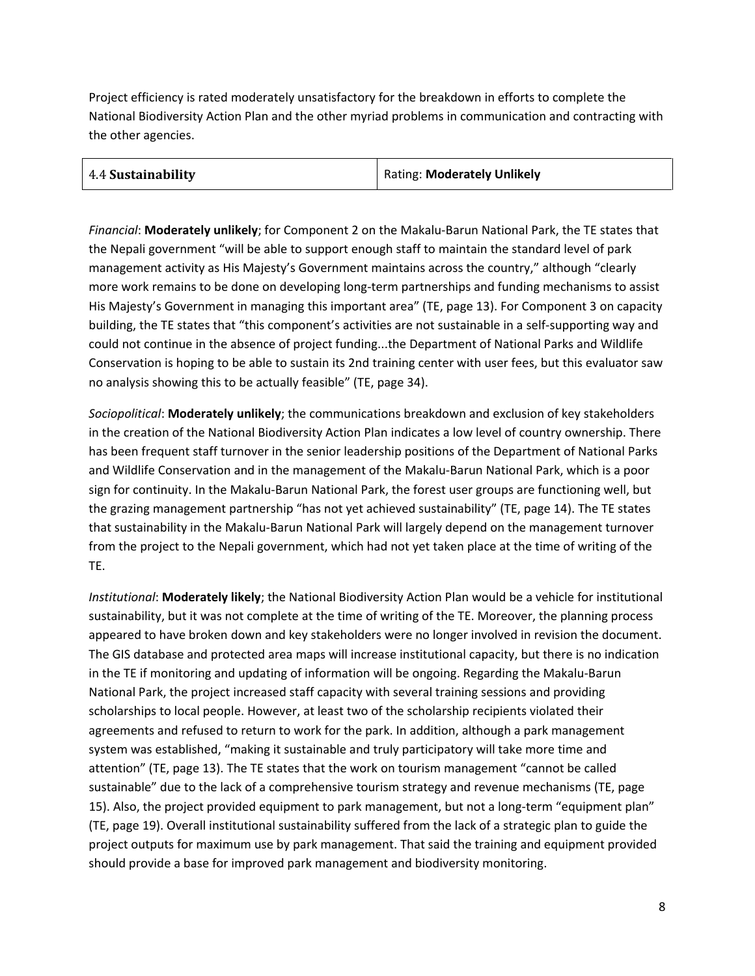Project efficiency is rated moderately unsatisfactory for the breakdown in efforts to complete the National Biodiversity Action Plan and the other myriad problems in communication and contracting with the other agencies.

| 4.4 Sustainability | Rating: Moderately Unlikely |
|--------------------|-----------------------------|
|                    |                             |

*Financial*: **Moderately unlikely**; for Component 2 on the Makalu-Barun National Park, the TE states that the Nepali government "will be able to support enough staff to maintain the standard level of park management activity as His Majesty's Government maintains across the country," although "clearly more work remains to be done on developing long-term partnerships and funding mechanisms to assist His Majesty's Government in managing this important area" (TE, page 13). For Component 3 on capacity building, the TE states that "this component's activities are not sustainable in a self-supporting way and could not continue in the absence of project funding...the Department of National Parks and Wildlife Conservation is hoping to be able to sustain its 2nd training center with user fees, but this evaluator saw no analysis showing this to be actually feasible" (TE, page 34).

*Sociopolitical*: **Moderately unlikely**; the communications breakdown and exclusion of key stakeholders in the creation of the National Biodiversity Action Plan indicates a low level of country ownership. There has been frequent staff turnover in the senior leadership positions of the Department of National Parks and Wildlife Conservation and in the management of the Makalu-Barun National Park, which is a poor sign for continuity. In the Makalu-Barun National Park, the forest user groups are functioning well, but the grazing management partnership "has not yet achieved sustainability" (TE, page 14). The TE states that sustainability in the Makalu-Barun National Park will largely depend on the management turnover from the project to the Nepali government, which had not yet taken place at the time of writing of the TE.

*Institutional*: **Moderately likely**; the National Biodiversity Action Plan would be a vehicle for institutional sustainability, but it was not complete at the time of writing of the TE. Moreover, the planning process appeared to have broken down and key stakeholders were no longer involved in revision the document. The GIS database and protected area maps will increase institutional capacity, but there is no indication in the TE if monitoring and updating of information will be ongoing. Regarding the Makalu-Barun National Park, the project increased staff capacity with several training sessions and providing scholarships to local people. However, at least two of the scholarship recipients violated their agreements and refused to return to work for the park. In addition, although a park management system was established, "making it sustainable and truly participatory will take more time and attention" (TE, page 13). The TE states that the work on tourism management "cannot be called sustainable" due to the lack of a comprehensive tourism strategy and revenue mechanisms (TE, page 15). Also, the project provided equipment to park management, but not a long-term "equipment plan" (TE, page 19). Overall institutional sustainability suffered from the lack of a strategic plan to guide the project outputs for maximum use by park management. That said the training and equipment provided should provide a base for improved park management and biodiversity monitoring.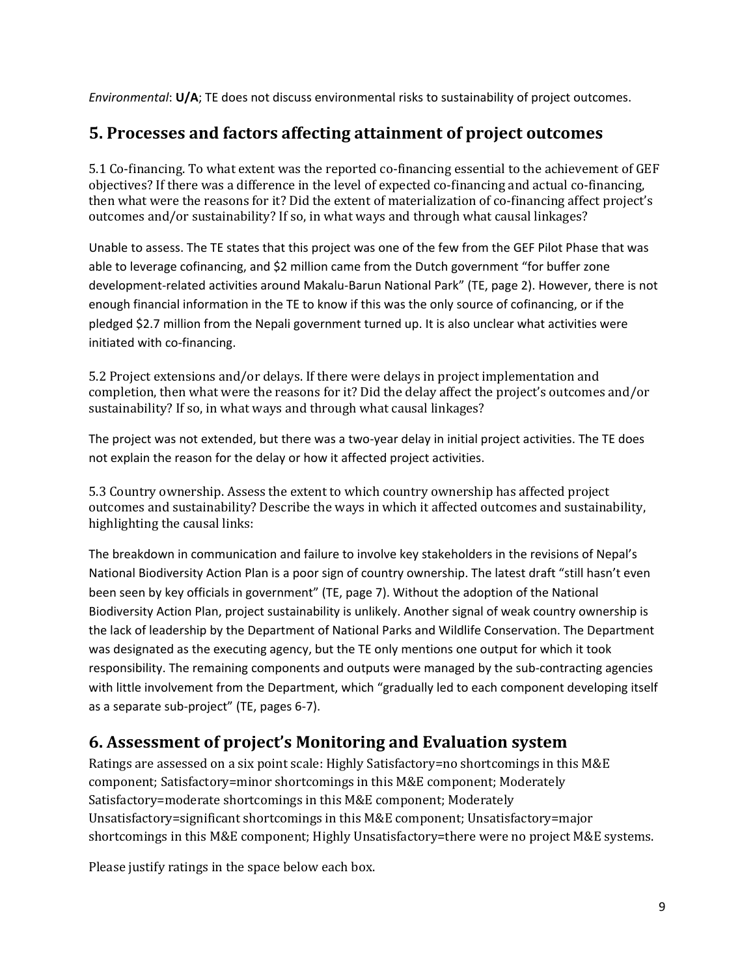*Environmental*: **U/A**; TE does not discuss environmental risks to sustainability of project outcomes.

## **5. Processes and factors affecting attainment of project outcomes**

5.1 Co-financing. To what extent was the reported co-financing essential to the achievement of GEF objectives? If there was a difference in the level of expected co-financing and actual co-financing, then what were the reasons for it? Did the extent of materialization of co-financing affect project's outcomes and/or sustainability? If so, in what ways and through what causal linkages?

Unable to assess. The TE states that this project was one of the few from the GEF Pilot Phase that was able to leverage cofinancing, and \$2 million came from the Dutch government "for buffer zone development-related activities around Makalu-Barun National Park" (TE, page 2). However, there is not enough financial information in the TE to know if this was the only source of cofinancing, or if the pledged \$2.7 million from the Nepali government turned up. It is also unclear what activities were initiated with co-financing.

5.2 Project extensions and/or delays. If there were delays in project implementation and completion, then what were the reasons for it? Did the delay affect the project's outcomes and/or sustainability? If so, in what ways and through what causal linkages?

The project was not extended, but there was a two-year delay in initial project activities. The TE does not explain the reason for the delay or how it affected project activities.

5.3 Country ownership. Assess the extent to which country ownership has affected project outcomes and sustainability? Describe the ways in which it affected outcomes and sustainability, highlighting the causal links:

The breakdown in communication and failure to involve key stakeholders in the revisions of Nepal's National Biodiversity Action Plan is a poor sign of country ownership. The latest draft "still hasn't even been seen by key officials in government" (TE, page 7). Without the adoption of the National Biodiversity Action Plan, project sustainability is unlikely. Another signal of weak country ownership is the lack of leadership by the Department of National Parks and Wildlife Conservation. The Department was designated as the executing agency, but the TE only mentions one output for which it took responsibility. The remaining components and outputs were managed by the sub-contracting agencies with little involvement from the Department, which "gradually led to each component developing itself as a separate sub-project" (TE, pages 6-7).

#### **6. Assessment of project's Monitoring and Evaluation system**

Ratings are assessed on a six point scale: Highly Satisfactory=no shortcomings in this M&E component; Satisfactory=minor shortcomings in this M&E component; Moderately Satisfactory=moderate shortcomings in this M&E component; Moderately Unsatisfactory=significant shortcomings in this M&E component; Unsatisfactory=major shortcomings in this M&E component; Highly Unsatisfactory=there were no project M&E systems.

Please justify ratings in the space below each box.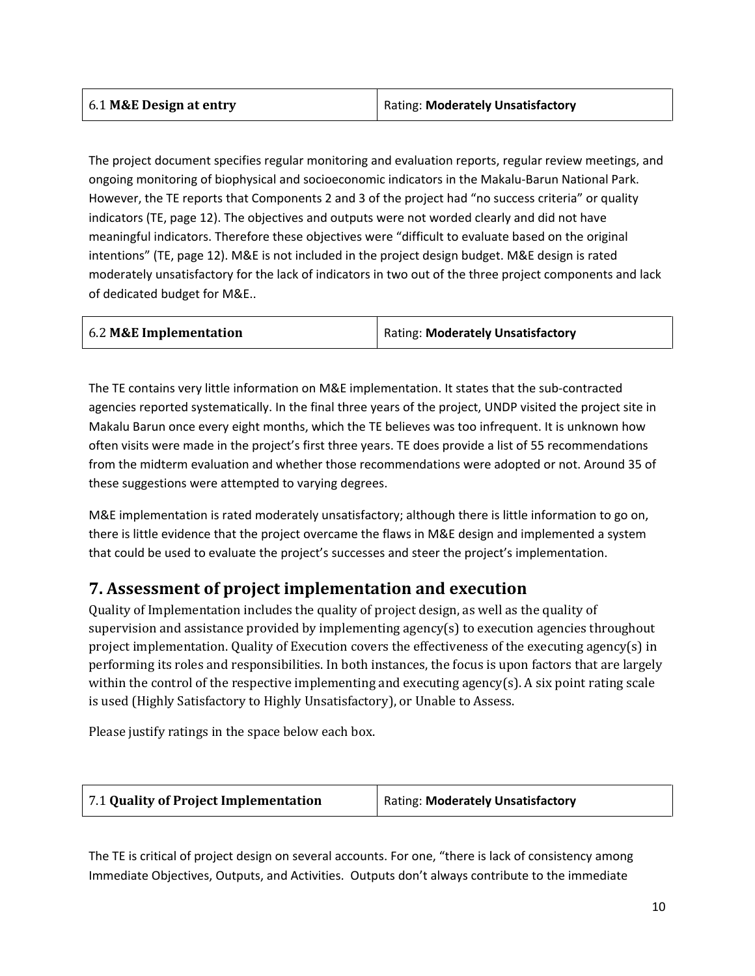| 6.1 M&E Design at entry | Rating: Moderately Unsatisfactory |
|-------------------------|-----------------------------------|
|                         |                                   |

The project document specifies regular monitoring and evaluation reports, regular review meetings, and ongoing monitoring of biophysical and socioeconomic indicators in the Makalu-Barun National Park. However, the TE reports that Components 2 and 3 of the project had "no success criteria" or quality indicators (TE, page 12). The objectives and outputs were not worded clearly and did not have meaningful indicators. Therefore these objectives were "difficult to evaluate based on the original intentions" (TE, page 12). M&E is not included in the project design budget. M&E design is rated moderately unsatisfactory for the lack of indicators in two out of the three project components and lack of dedicated budget for M&E..

| 6.2 M&E Implementation | Rating: Moderately Unsatisfactory |
|------------------------|-----------------------------------|
|                        |                                   |

The TE contains very little information on M&E implementation. It states that the sub-contracted agencies reported systematically. In the final three years of the project, UNDP visited the project site in Makalu Barun once every eight months, which the TE believes was too infrequent. It is unknown how often visits were made in the project's first three years. TE does provide a list of 55 recommendations from the midterm evaluation and whether those recommendations were adopted or not. Around 35 of these suggestions were attempted to varying degrees.

M&E implementation is rated moderately unsatisfactory; although there is little information to go on, there is little evidence that the project overcame the flaws in M&E design and implemented a system that could be used to evaluate the project's successes and steer the project's implementation.

#### **7. Assessment of project implementation and execution**

Quality of Implementation includes the quality of project design, as well as the quality of supervision and assistance provided by implementing agency(s) to execution agencies throughout project implementation. Quality of Execution covers the effectiveness of the executing agency(s) in performing its roles and responsibilities. In both instances, the focus is upon factors that are largely within the control of the respective implementing and executing agency(s). A six point rating scale is used (Highly Satisfactory to Highly Unsatisfactory), or Unable to Assess.

Please justify ratings in the space below each box.

| Rating: Moderately Unsatisfactory |
|-----------------------------------|
|                                   |

The TE is critical of project design on several accounts. For one, "there is lack of consistency among Immediate Objectives, Outputs, and Activities. Outputs don't always contribute to the immediate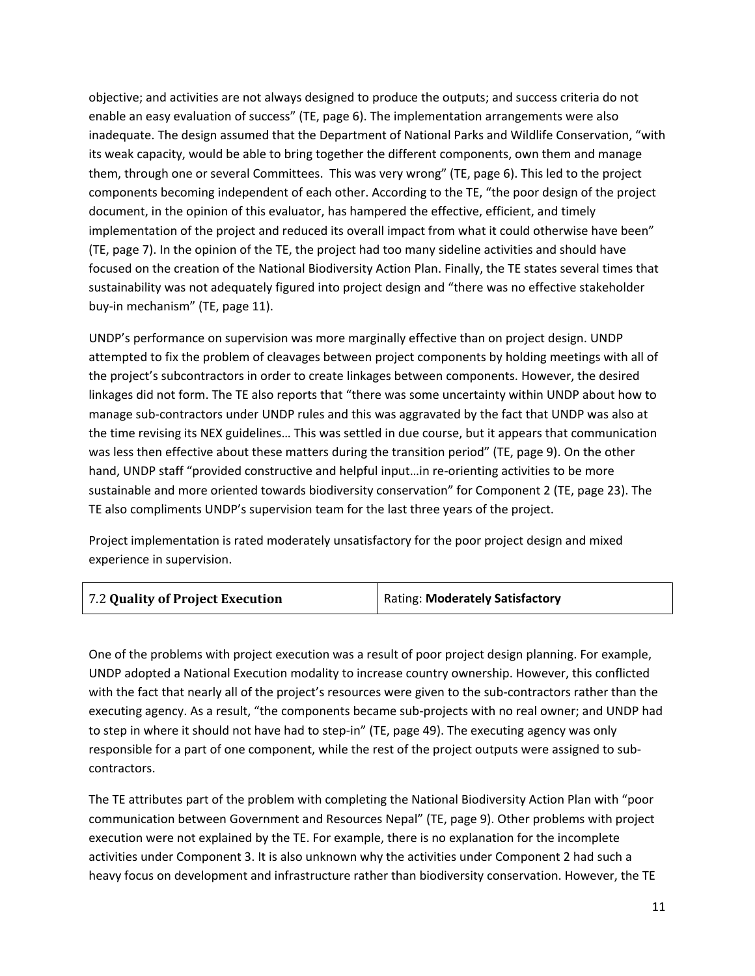objective; and activities are not always designed to produce the outputs; and success criteria do not enable an easy evaluation of success" (TE, page 6). The implementation arrangements were also inadequate. The design assumed that the Department of National Parks and Wildlife Conservation, "with its weak capacity, would be able to bring together the different components, own them and manage them, through one or several Committees. This was very wrong" (TE, page 6). This led to the project components becoming independent of each other. According to the TE, "the poor design of the project document, in the opinion of this evaluator, has hampered the effective, efficient, and timely implementation of the project and reduced its overall impact from what it could otherwise have been" (TE, page 7). In the opinion of the TE, the project had too many sideline activities and should have focused on the creation of the National Biodiversity Action Plan. Finally, the TE states several times that sustainability was not adequately figured into project design and "there was no effective stakeholder buy-in mechanism" (TE, page 11).

UNDP's performance on supervision was more marginally effective than on project design. UNDP attempted to fix the problem of cleavages between project components by holding meetings with all of the project's subcontractors in order to create linkages between components. However, the desired linkages did not form. The TE also reports that "there was some uncertainty within UNDP about how to manage sub-contractors under UNDP rules and this was aggravated by the fact that UNDP was also at the time revising its NEX guidelines… This was settled in due course, but it appears that communication was less then effective about these matters during the transition period" (TE, page 9). On the other hand, UNDP staff "provided constructive and helpful input...in re-orienting activities to be more sustainable and more oriented towards biodiversity conservation" for Component 2 (TE, page 23). The TE also compliments UNDP's supervision team for the last three years of the project.

Project implementation is rated moderately unsatisfactory for the poor project design and mixed experience in supervision.

One of the problems with project execution was a result of poor project design planning. For example, UNDP adopted a National Execution modality to increase country ownership. However, this conflicted with the fact that nearly all of the project's resources were given to the sub-contractors rather than the executing agency. As a result, "the components became sub-projects with no real owner; and UNDP had to step in where it should not have had to step-in" (TE, page 49). The executing agency was only responsible for a part of one component, while the rest of the project outputs were assigned to subcontractors.

The TE attributes part of the problem with completing the National Biodiversity Action Plan with "poor communication between Government and Resources Nepal" (TE, page 9). Other problems with project execution were not explained by the TE. For example, there is no explanation for the incomplete activities under Component 3. It is also unknown why the activities under Component 2 had such a heavy focus on development and infrastructure rather than biodiversity conservation. However, the TE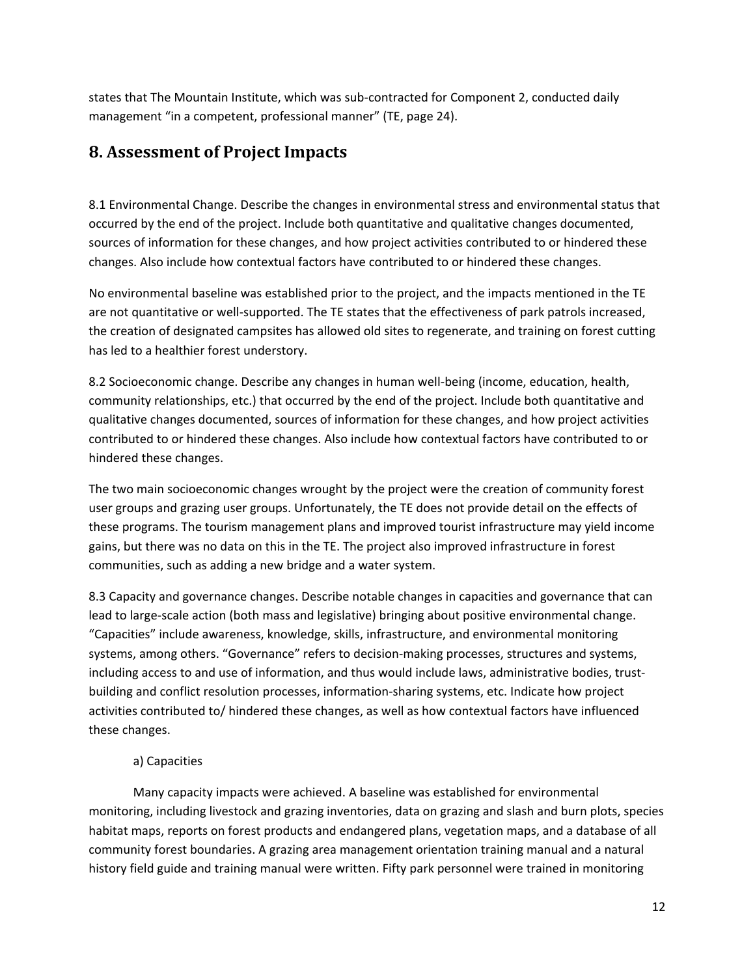states that The Mountain Institute, which was sub-contracted for Component 2, conducted daily management "in a competent, professional manner" (TE, page 24).

#### **8. Assessment of Project Impacts**

8.1 Environmental Change. Describe the changes in environmental stress and environmental status that occurred by the end of the project. Include both quantitative and qualitative changes documented, sources of information for these changes, and how project activities contributed to or hindered these changes. Also include how contextual factors have contributed to or hindered these changes.

No environmental baseline was established prior to the project, and the impacts mentioned in the TE are not quantitative or well-supported. The TE states that the effectiveness of park patrols increased, the creation of designated campsites has allowed old sites to regenerate, and training on forest cutting has led to a healthier forest understory.

8.2 Socioeconomic change. Describe any changes in human well-being (income, education, health, community relationships, etc.) that occurred by the end of the project. Include both quantitative and qualitative changes documented, sources of information for these changes, and how project activities contributed to or hindered these changes. Also include how contextual factors have contributed to or hindered these changes.

The two main socioeconomic changes wrought by the project were the creation of community forest user groups and grazing user groups. Unfortunately, the TE does not provide detail on the effects of these programs. The tourism management plans and improved tourist infrastructure may yield income gains, but there was no data on this in the TE. The project also improved infrastructure in forest communities, such as adding a new bridge and a water system.

8.3 Capacity and governance changes. Describe notable changes in capacities and governance that can lead to large-scale action (both mass and legislative) bringing about positive environmental change. "Capacities" include awareness, knowledge, skills, infrastructure, and environmental monitoring systems, among others. "Governance" refers to decision-making processes, structures and systems, including access to and use of information, and thus would include laws, administrative bodies, trustbuilding and conflict resolution processes, information-sharing systems, etc. Indicate how project activities contributed to/ hindered these changes, as well as how contextual factors have influenced these changes.

#### a) Capacities

Many capacity impacts were achieved. A baseline was established for environmental monitoring, including livestock and grazing inventories, data on grazing and slash and burn plots, species habitat maps, reports on forest products and endangered plans, vegetation maps, and a database of all community forest boundaries. A grazing area management orientation training manual and a natural history field guide and training manual were written. Fifty park personnel were trained in monitoring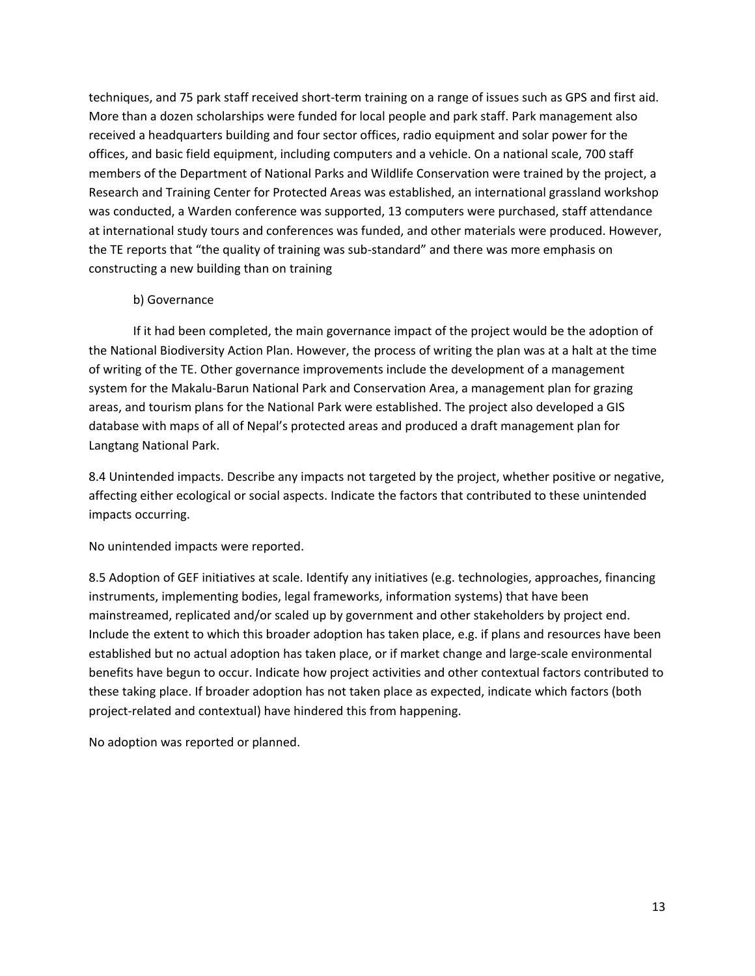techniques, and 75 park staff received short-term training on a range of issues such as GPS and first aid. More than a dozen scholarships were funded for local people and park staff. Park management also received a headquarters building and four sector offices, radio equipment and solar power for the offices, and basic field equipment, including computers and a vehicle. On a national scale, 700 staff members of the Department of National Parks and Wildlife Conservation were trained by the project, a Research and Training Center for Protected Areas was established, an international grassland workshop was conducted, a Warden conference was supported, 13 computers were purchased, staff attendance at international study tours and conferences was funded, and other materials were produced. However, the TE reports that "the quality of training was sub-standard" and there was more emphasis on constructing a new building than on training

#### b) Governance

If it had been completed, the main governance impact of the project would be the adoption of the National Biodiversity Action Plan. However, the process of writing the plan was at a halt at the time of writing of the TE. Other governance improvements include the development of a management system for the Makalu-Barun National Park and Conservation Area, a management plan for grazing areas, and tourism plans for the National Park were established. The project also developed a GIS database with maps of all of Nepal's protected areas and produced a draft management plan for Langtang National Park.

8.4 Unintended impacts. Describe any impacts not targeted by the project, whether positive or negative, affecting either ecological or social aspects. Indicate the factors that contributed to these unintended impacts occurring.

No unintended impacts were reported.

8.5 Adoption of GEF initiatives at scale. Identify any initiatives (e.g. technologies, approaches, financing instruments, implementing bodies, legal frameworks, information systems) that have been mainstreamed, replicated and/or scaled up by government and other stakeholders by project end. Include the extent to which this broader adoption has taken place, e.g. if plans and resources have been established but no actual adoption has taken place, or if market change and large-scale environmental benefits have begun to occur. Indicate how project activities and other contextual factors contributed to these taking place. If broader adoption has not taken place as expected, indicate which factors (both project-related and contextual) have hindered this from happening.

No adoption was reported or planned.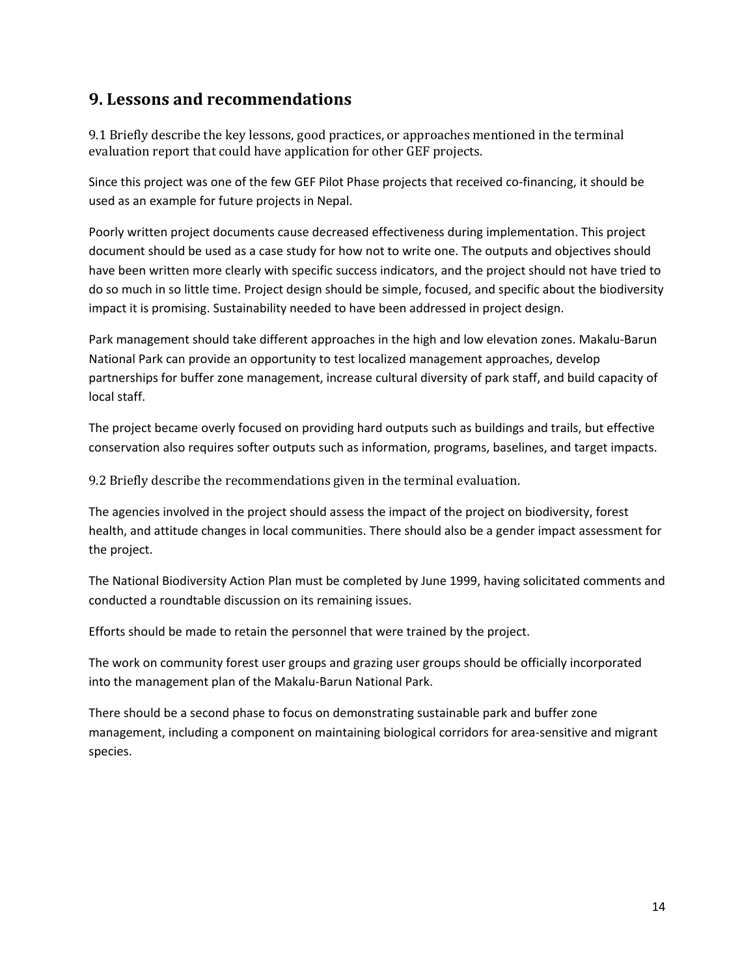#### **9. Lessons and recommendations**

9.1 Briefly describe the key lessons, good practices, or approaches mentioned in the terminal evaluation report that could have application for other GEF projects.

Since this project was one of the few GEF Pilot Phase projects that received co-financing, it should be used as an example for future projects in Nepal.

Poorly written project documents cause decreased effectiveness during implementation. This project document should be used as a case study for how not to write one. The outputs and objectives should have been written more clearly with specific success indicators, and the project should not have tried to do so much in so little time. Project design should be simple, focused, and specific about the biodiversity impact it is promising. Sustainability needed to have been addressed in project design.

Park management should take different approaches in the high and low elevation zones. Makalu-Barun National Park can provide an opportunity to test localized management approaches, develop partnerships for buffer zone management, increase cultural diversity of park staff, and build capacity of local staff.

The project became overly focused on providing hard outputs such as buildings and trails, but effective conservation also requires softer outputs such as information, programs, baselines, and target impacts.

9.2 Briefly describe the recommendations given in the terminal evaluation.

The agencies involved in the project should assess the impact of the project on biodiversity, forest health, and attitude changes in local communities. There should also be a gender impact assessment for the project.

The National Biodiversity Action Plan must be completed by June 1999, having solicitated comments and conducted a roundtable discussion on its remaining issues.

Efforts should be made to retain the personnel that were trained by the project.

The work on community forest user groups and grazing user groups should be officially incorporated into the management plan of the Makalu-Barun National Park.

There should be a second phase to focus on demonstrating sustainable park and buffer zone management, including a component on maintaining biological corridors for area-sensitive and migrant species.